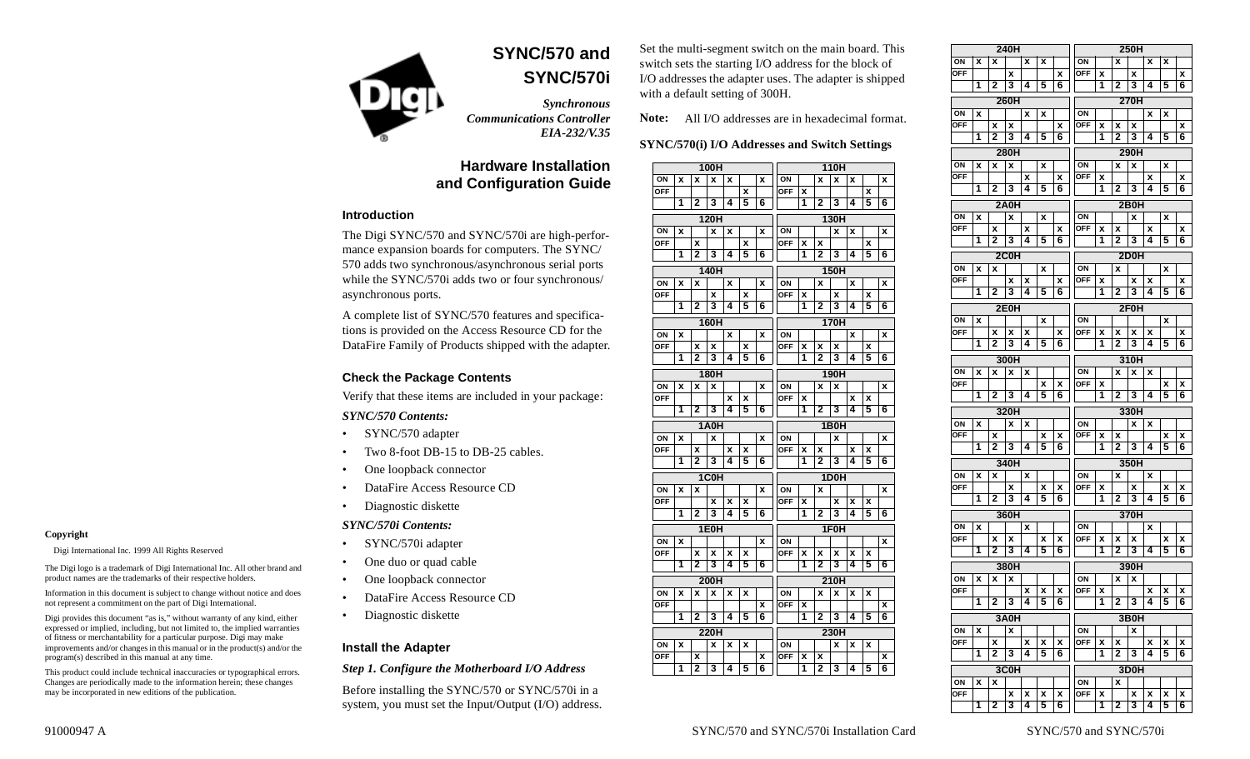

**SYNC/570 andSYNC/570i**

*Synchronous Communications Controller EIA-232/V.35*

# **Hardware Installationand Configuration Guide**

#### **Introduction**

The Digi SYNC/570 and SYNC/570i are high-performance expansion boards for computers. The SYNC/ 570 adds two synchronous/asynchronous serial ports while the SYNC/570i adds two or four synchronous/ asynchronous ports.

A complete list of SYNC/570 features and specifications is provided on the Access Resource CD for the DataFire Family of Products shipped with the adapter.

#### **Check the Package Contents**

Verify that these items are included in your package:

#### *SYNC/570 Contents:*

- •SYNC/570 adapter
- •Two 8-foot DB-15 to DB-25 cables.
- •One loopback connector
- •DataFire Access Resource CD
- •Diagnostic diskette

#### *SYNC/570i Contents:*

•

•

- SYNC/570i adapter
- •One duo or quad cable
- One loopback connector
- •DataFire Access Resource CD
- Diagnostic diskette

## **Install the Adapter**

#### *Step 1. Configure the Motherboard I/O Address*

Before installing the SYNC/570 or SYNC/570i in a system, you must set the Input/Output (I/O) address. Set the multi-segment switch on the main board. This switch sets the starting I/O address for the block of I/O addresses the adapter uses. The adapter is shipped with a default setting of 300H.

**Note:** All I/O addresses are in hexadecimal format.

#### **SYNC/570(i) I/O Addresses and Switch Settings**

| 100H       |   |                     |                   |   |   |        | 110H       |        |                     |                   |   |   |        |  |
|------------|---|---------------------|-------------------|---|---|--------|------------|--------|---------------------|-------------------|---|---|--------|--|
| ON         | X | X                   | X                 | X |   | x      | ON         |        | X                   | x                 | x |   | X      |  |
| OFF        |   |                     |                   |   | X |        | OFF        | X      |                     |                   |   | x |        |  |
|            | 1 | 2                   | 3                 | 4 | 5 | 6      |            | 1      | $\overline{2}$      | 3                 | 4 | 5 | 6      |  |
|            |   |                     | 120H              |   |   |        | 130H       |        |                     |                   |   |   |        |  |
| ON         | X |                     | X                 | X |   | X      | ON         |        |                     | X                 | x |   | X      |  |
| <b>OFF</b> |   | X                   |                   |   | X |        | <b>OFF</b> | X      | X                   |                   |   | X |        |  |
|            | 1 | $\overline{2}$      | 3                 | 4 | 5 | 6      |            | 1      | 2                   | 3                 | 4 | 5 | 6      |  |
| 140H       |   |                     |                   |   |   |        |            |        | <b>150H</b>         |                   |   |   |        |  |
| ΟN         | χ | x                   |                   | x |   | x      | ΟN         |        | x                   |                   | x |   | x      |  |
| <b>OFF</b> |   |                     | X                 |   | X |        | <b>OFF</b> | X      |                     | X                 |   | X |        |  |
|            | 1 | 2                   | 3                 | 4 | 5 | 6      |            | 1      | $\mathbf{2}$        | 3                 | 4 | 5 | 6      |  |
| 160H       |   |                     |                   |   |   |        |            |        |                     | 170H              |   |   |        |  |
| ΟN         | χ |                     |                   | x |   | X      | ΟN         |        |                     |                   | x |   | X      |  |
| <b>OFF</b> |   | x                   | x                 |   | x |        | <b>OFF</b> | X      | x                   | X                 |   | x |        |  |
|            | 1 | 2                   | 3                 | 4 | 5 | 6      |            | 1      | $\overline{2}$      | 3                 | 4 | 5 | 6      |  |
|            |   |                     | <b>180H</b>       |   |   |        | 190H       |        |                     |                   |   |   |        |  |
| ON         | X | X                   | X                 |   |   | X      | ON         |        | X                   | x                 |   |   | X      |  |
| <b>OFF</b> |   |                     |                   | X | X |        | <b>OFF</b> | X      |                     |                   | X | x |        |  |
|            | 1 | 2                   | 3                 | 4 | 5 | 6      |            | 1      | 2                   | 3                 | 4 | 5 | 6      |  |
| 1A0H       |   |                     |                   |   |   |        |            |        |                     |                   |   |   |        |  |
|            |   |                     |                   |   |   |        |            |        |                     | 1B <sub>0</sub> H |   |   |        |  |
| ON         | X |                     | X                 |   |   | X      | ON         |        |                     | X                 |   |   | X      |  |
| OFF        |   | x                   |                   | x | X |        | OFF        | X      | X                   |                   | x | x |        |  |
|            | 1 | $\overline{2}$      | 3                 | 4 | 5 | 6      |            | 1      | $\mathbf{2}$        | 3                 | 4 | 5 | 6      |  |
|            |   |                     | 1C <sub>0</sub> H |   |   |        |            |        |                     | 1D <sub>0</sub> H |   |   |        |  |
| ON         | X | x                   |                   |   |   | x      | ON         |        | X                   |                   |   |   | X      |  |
| <b>OFF</b> |   |                     | x                 | x | x |        | OFF        | X      |                     | x                 | x | x |        |  |
|            | 1 | 2                   | 3                 | 4 | 5 | 6      |            | 1      | 2                   | 3                 | 4 | 5 | 6      |  |
|            |   |                     | 1E <sub>0</sub> H |   |   |        |            |        |                     | 1F <sub>0</sub> H |   |   |        |  |
| ON         | X |                     |                   |   |   | X      | ON         |        |                     |                   |   |   | X      |  |
| <b>OFF</b> |   | X                   | X                 | x | X |        | <b>OFF</b> | X      | X                   | X                 | X | x |        |  |
|            | 1 | 2                   | 3                 | 4 | 5 | 6      |            | 1      | $\overline{2}$      | 3                 | 4 | 5 | 6      |  |
|            |   |                     | 200H              |   |   |        |            |        |                     | 210H              |   |   |        |  |
| ON         | X | X                   | X                 | X | X |        | ON         |        | X                   | x                 | X | x |        |  |
| <b>OFF</b> |   |                     |                   |   |   | x      | <b>OFF</b> | X      |                     |                   |   |   | x      |  |
|            | 1 | 2                   | 3                 | 4 | 5 | 6      |            | 1      | 2                   | 3                 | 4 | 5 | 6      |  |
|            |   |                     | 220H              |   |   |        |            |        |                     | 230H              |   |   |        |  |
| ON         | X |                     | x                 | x | X |        | ON         |        |                     | x                 | x | х |        |  |
| OFF        | 1 | x<br>$\overline{2}$ | 3                 | 4 | 5 | X<br>6 | OFF        | X<br>1 | X<br>$\overline{2}$ | 3                 | 4 | 5 | X<br>6 |  |

|                  |      |        | 240H   |                |   |        | 250H                       |   |   |                         |   |   |   |  |  |
|------------------|------|--------|--------|----------------|---|--------|----------------------------|---|---|-------------------------|---|---|---|--|--|
| ΟN               | X    | X      |        | x              | x |        | ΟN                         |   | X |                         | x | x |   |  |  |
| OFF              |      |        | X      |                |   | x      | OFF                        | X |   | χ                       |   |   | x |  |  |
|                  | 1    | 2      | 3      | 4              | 5 | 6      |                            | 1 | 2 | 3                       | 4 | 5 | 6 |  |  |
|                  |      |        | 260H   |                |   |        | 270H                       |   |   |                         |   |   |   |  |  |
|                  |      |        |        |                |   |        |                            |   |   |                         |   |   |   |  |  |
| ΟN<br><b>OFF</b> | χ    |        |        | x              | x |        | ΟN<br><b>OFF</b>           |   |   |                         | x | x |   |  |  |
|                  | 1    | x<br>2 | x<br>3 | 4              | 5 | X<br>6 |                            | x | x | x                       |   |   | x |  |  |
|                  |      |        |        |                |   |        | 3<br>4<br>5<br>1<br>2<br>6 |   |   |                         |   |   |   |  |  |
|                  | 280H |        |        |                |   |        |                            |   |   | 290H                    |   |   |   |  |  |
| ON               | X    | X      | X      |                | x |        | ON                         |   | X | x                       |   | x |   |  |  |
| OFF              |      |        |        | x              |   | x      | OFF                        | x |   |                         | x |   | x |  |  |
|                  | 1    | 2      | 3      | 4              | 5 | 6      |                            | 1 | 2 | 3                       | 4 | 5 | 6 |  |  |
|                  |      |        | 2A0H   |                |   |        |                            |   |   | 2B0H                    |   |   |   |  |  |
| ΟN               | x    |        | X      |                | x |        | ON                         |   |   | X                       |   | x |   |  |  |
| OFF              |      | x      |        | x              |   | x      | OFF                        | x | x |                         | x |   | x |  |  |
|                  | 1    | 2      | 3      | 4              | 5 | 6      |                            | 1 | 2 | 3                       | 4 | 5 | 6 |  |  |
|                  |      |        | 2C0H   |                |   |        |                            |   |   | 2D0H                    |   |   |   |  |  |
| ΟN               | x    | X      |        |                | x |        | ΟN                         |   | x |                         |   | x |   |  |  |
| <b>OFF</b>       |      |        | x      | x              |   | x      | OFF                        | x |   | x                       | x |   | x |  |  |
|                  | 1    | 2      | 3      | 4              | 5 | 6      |                            | 1 | 2 | 3                       | 4 | 5 | 6 |  |  |
|                  |      |        |        |                |   |        |                            |   |   |                         |   |   |   |  |  |
|                  |      |        | 2E0H   |                |   |        |                            |   |   | 2F0H                    |   |   |   |  |  |
| ΟN               | x    |        |        |                | X |        | ΟN                         |   |   |                         |   | x |   |  |  |
| OFF              |      | x      | x      | x              |   | x      | OFF                        | x | x | x                       | x |   | x |  |  |
|                  | 1    | 2      | 3      | 4              | 5 | 6      |                            | 1 | 2 | 3                       | 4 | 5 | 6 |  |  |
|                  |      |        | 300H   |                |   |        | 310H                       |   |   |                         |   |   |   |  |  |
| ΟN               | χ    | x      | x      | x              |   |        | ΟN                         |   | x | x                       | x |   |   |  |  |
| OFF              |      |        |        |                | x | x      | OFF                        | x |   |                         |   | x | x |  |  |
|                  | 1    | 2      | 3      | 4              | 5 | 6      |                            | 1 | 2 | 3                       | 4 | 5 | 6 |  |  |
|                  |      |        | 320H   |                |   |        | 330H                       |   |   |                         |   |   |   |  |  |
| ON               | X    |        | X      | X              |   |        | ΟN                         |   |   | X                       | X |   |   |  |  |
| OFF              |      | x      |        |                | x | x      | OFF                        | x | x |                         |   | x | x |  |  |
|                  | 1    | 2      | 3      | 4              | 5 | 6      |                            | 1 | 2 | 3                       | 4 | 5 | 6 |  |  |
|                  |      |        | 340H   |                |   |        | 350H                       |   |   |                         |   |   |   |  |  |
|                  | X    | X      |        | x              |   |        | ON<br>X<br>X               |   |   |                         |   |   |   |  |  |
| ON<br>OFF        |      |        | x      |                | x | x      | OFF                        | x |   | x                       |   | x | x |  |  |
|                  | 1    | 2      | 3      | 4              | 5 | 6      |                            | 1 | 2 | 3                       | 4 | 5 | 6 |  |  |
|                  |      |        |        |                |   |        |                            |   |   |                         |   |   |   |  |  |
|                  |      |        | 360H   |                |   |        |                            |   |   | 370H                    |   |   |   |  |  |
| ΟN               | x    |        |        | X              |   |        | ΟN                         |   |   |                         | X |   |   |  |  |
| <b>OFF</b>       |      | X      | X      |                | X | X      | OFF                        | X | x | X                       |   | x | x |  |  |
|                  | 1    | 2      | 3      | 4              | 5 | 6      |                            | 1 | 2 | 3                       | 4 | 5 | 6 |  |  |
|                  |      |        | 380H   |                |   |        |                            |   |   | 390H                    |   |   |   |  |  |
| ΟN               | x    | X      | X      |                |   |        | ΟN                         |   | X | x                       |   |   |   |  |  |
| OFF              |      |        |        | x              | x | x      | OFF                        | X |   |                         | X | x | x |  |  |
|                  | 1    | 2      | 3      | $\overline{4}$ | 5 | 6      |                            | 1 | 2 | $\overline{\mathbf{3}}$ | 4 | 5 | 6 |  |  |
|                  | 3A0H |        |        |                |   |        |                            |   |   | 3B0H                    |   |   |   |  |  |
| ΟN               | x    |        | x      |                |   |        | ΟN                         |   |   | x                       |   |   |   |  |  |
| OFF              |      | x      |        | x              | x | X      | OFF                        | x | x |                         | x | x | x |  |  |
|                  | 1    | 2      | 3      | 4              | 5 | 6      |                            | 1 | 2 | 3                       | 4 | 5 | 6 |  |  |
|                  |      |        |        |                |   |        |                            |   |   |                         |   |   |   |  |  |
|                  |      |        | 3C0H   |                |   |        |                            |   |   | 3D0H                    |   |   |   |  |  |
| ON               | x    | x      |        |                |   |        | ON                         |   | x |                         |   |   |   |  |  |
| OFF              |      |        | x      | x              | x | X      | OFF                        | x |   | x                       | x | x | x |  |  |
|                  | 1    | 2      | 3      | 4              | 5 | 6      |                            | 1 | 2 | 3                       | 4 | 5 | 6 |  |  |

#### **Copyright**

Digi International Inc. 1999 All Rights Reserved

The Digi logo is a trademark of Digi International Inc. All other brand and product names are the trademarks of their respective holders.

Information in this document is subject to change without notice and does not represent a commitment on the part of Digi International.

Digi provides this document "as is," without warranty of any kind, either expressed or implied, including, but not limited to, the implied warranties of fitness or merchantability for a particular purpose. Digi may make improvements and/or changes in this manual or in the product(s) and/or the program(s) described in this manual at any time.

This product could include technical inaccuracies or typographical errors. Changes are periodically made to the information herein; these changes may be incorporated in new editions of the publication.